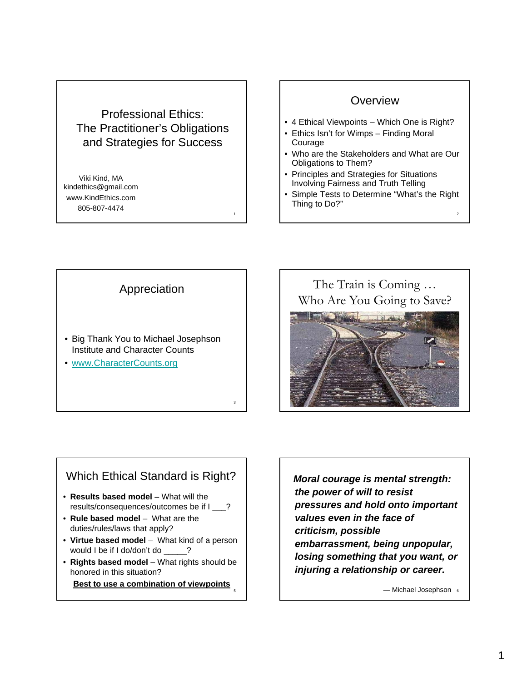### Professional Ethics: The Practitioner's Obligations and Strategies for Success

1

3

5

Viki Kind, MA kindethics@gmail.com www.KindEthics.com 805-807-4474

#### **Overview**

- 4 Ethical Viewpoints Which One is Right?
- Ethics Isn't for Wimps Finding Moral Courage
- Who are the Stakeholders and What are Our Obligations to Them?
- Principles and Strategies for Situations Involving Fairness and Truth Telling
- Simple Tests to Determine "What's the Right Thing to Do?"

2

Appreciation

- Big Thank You to Michael Josephson Big Thank You to Michael Institute and Character Counts
- www.CharacterCounts.org

The Train is Coming … Who Are You Going to Save?



### Which Ethical Standard is Right?

- **Results based model** What will the results/consequences/outcomes be if I \_\_\_?
- **Rule based model** What are the duties/rules/laws that apply?
- Virtue based model What kind of a person would I be if I do/don't do \_\_\_\_\_?
- **Rights based model** What rights should be honored in this situation?

**Best to use a combination of viewpoints**

*Moral courage is mental strength: the power of will to resist pressures and hold onto important values even in the face of*   $c$ riticism, possible *embarrassment, being unpopular, losing something that you want, or injuring a relationship or career.*

6 — Michael Josephson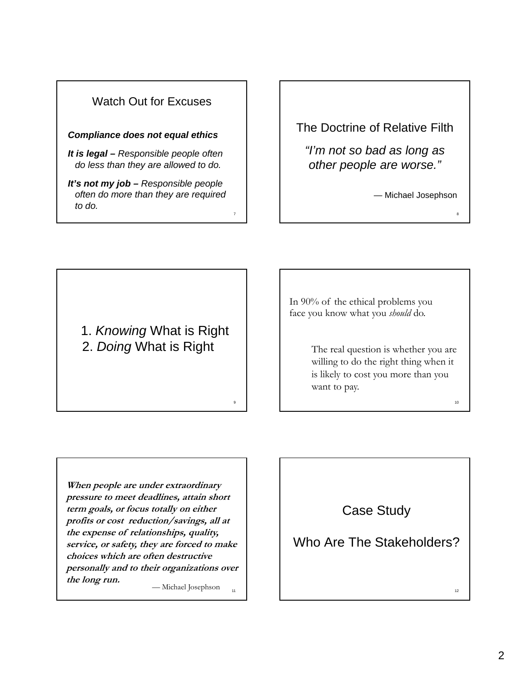

The Doctrine of Relative Filth

*"I'm not so bad as long as I m not so bad as long other people are worse."*

— Michael Josephson

8

10

 $12^{12}$ 

1. *Knowing* What is Right 2. *Doing* What is Right

In 90% of the ethical problems you face you know what you *should* do.

> The real question is whether you are willing to do the right thing when it is likely to cost you more than you want to pay.

**When people are under extraordinary pressure to meet deadlines, attain short term goals, or focus totally on either profits or cost reduction/savings, all at the expense of relationships, quality, service, or safety, they are forced to make choices which are often destructive personally and to their organizations over the long run.** — Michael Josephson

11

9

Case Study

# Who Are The Stakeholders?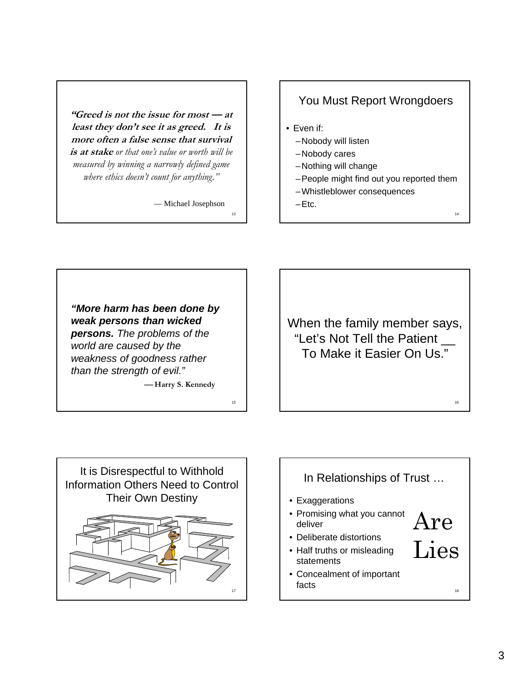**"Greed is not the issue for most — at least they don't see it as greed. It is more often a false sense that survival is at stake** *or that one's value or worth will be* **is** *or that one s value or worth will measured by winning a narrowly defined game where ethics doesn't count for anything."*

— Michael Josephson

13

15

### You Must Report Wrongdoers

- Even if:
	- –Nobody will listen
	- -Nobody cares
	- –Nothing will change
	- –People might find out you reported them

14

16

- –Whistleblower consequences
- $-Etc.$

*"More harm has been done by weak persons than wicked persons. The problems of the world are caused by the weakness of goodness rather than the strength of evil."*

⎯ **Harry S. Kennedy**

When the family member says, "Let's Not Tell the Patient  $\equiv$ To Make it Easier On Us."



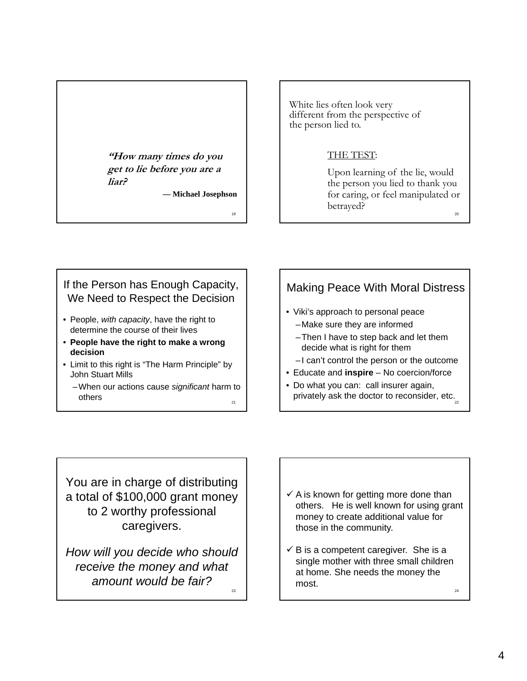## **"How many times do you get to lie before you are a liar?**

**— Michael Josephson**

19

White lies often look very different from the perspective of the person lied to.

#### THE TEST THE TEST:

20 Upon learning of the lie, would the person you lied to thank you for caring, or feel manipulated or betrayed?

#### If the Person has Enough Capacity, We Need to Respect the Decision

- People, *with capacity*, have the right to determine the course of their lives
- **People have the right to make a wrong decision**
- Limit to this right is "The Harm Principle" by John Stuart Mills
	- 21 – When our actions cause *significant* harm to others

## Making Peace With Moral Distress

- Viki's approach to personal peace –Make sure they are informed
	- –Then I have to step back and let them decide what is right for them
	- –I can't control the person or the outcome
- Educate and **inspire** No coercion/force
- privately ask the doctor to reconsider, etc. • Do what you can: call insurer again,

You are in charge of distributing a total of \$100,000 grant money to 2 worthy professional caregivers .

23 *How will you decide who should receive the money and what amount would be fair?*

- $\checkmark$  A is known for getting more done than others. He is well known for using grant money to create additional value for those in the community those in the community.
- 24  $\checkmark$  B is a competent caregiver. She is a single mother with three small children at home. She needs the money the most.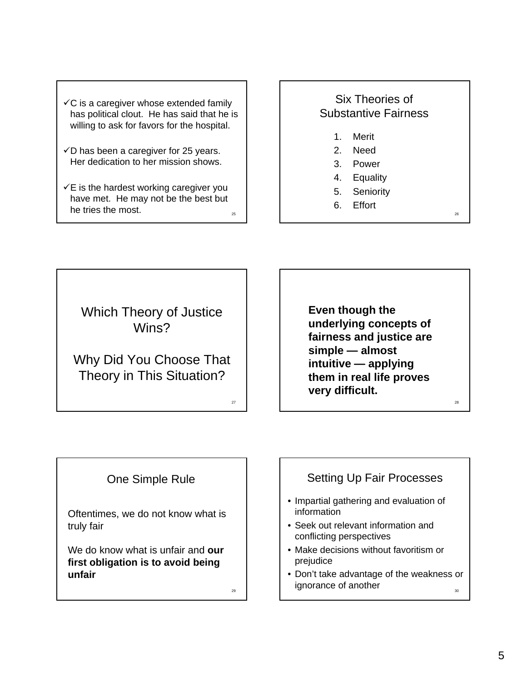- $\checkmark$ C is a caregiver whose extended family has political clout. He has said that he is willing to ask for favors for the hospital.
- $\checkmark$ D has been a caregiver for 25 years. Her dedication to her mission shows.
- 25  $\checkmark$ E is the hardest working caregiver you have met. He may not be the best but he tries the most.

### Six Theories of Substantive Fairness

- 1. Merit
- 2. Need
- 3. Power
- 4. Equality
- 5. Seniority

26

28

6. Effort

Which Theory of Justice Wins?

## Why Did You Choose That Theory in This Situation?

**Even though the underlying concepts of fairness and justice are fairness and justice simple — almost intuitive — applying them in real life proves very difficult.**

## One Simple Rule

Oftentimes, we do not know what is truly fair truly

We do know what is unfair and **our first obligation is to avoid being unfair**

29

27

## Setting Up Fair Processes • Impartial gathering and evaluation of information • Seek out relevant information and conflicting perspectives • Make decisions without favoritism or prejudice

30 • Don't take advantage of the weakness or ignorance of another